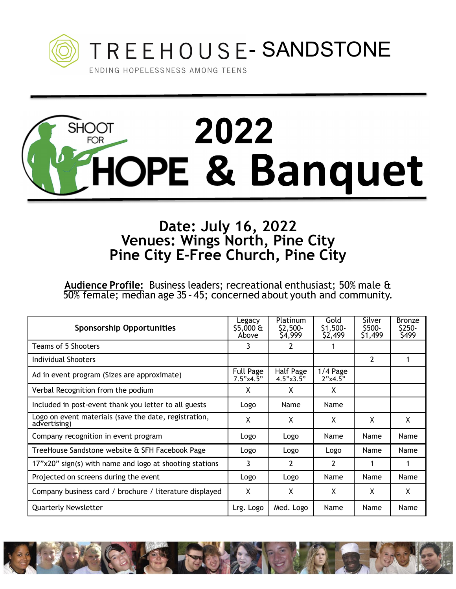

## **2022<br>
2022<br>
2022<br>
2022**<br>
2022<br>
2022 **SHOOT FOR**

## **Date: July 16, 2022 Venues: Wings North, Pine City Pine City E-Free Church, Pine City**

recreational enthusiast; 50% male & 50% female; median age 35 – 45; concerned about youth and community.

| <b>Sponsorship Opportunities</b>                                      | Legacy<br>$$5,000 \text{ ft}$<br>Above | <b>Platinum</b><br>\$2,500-<br>\$4,999 | Gold<br>$$1,500-$<br>\$2,499 | Silver<br>S500-<br>\$1,499 | <b>Bronze</b><br>\$250-<br>\$499 |
|-----------------------------------------------------------------------|----------------------------------------|----------------------------------------|------------------------------|----------------------------|----------------------------------|
| Teams of 5 Shooters                                                   | 3                                      |                                        |                              |                            |                                  |
| Individual Shooters                                                   |                                        |                                        |                              | 2                          |                                  |
| Ad in event program (Sizes are approximate)                           | <b>Full Page</b><br>7.5"x4.5"          | Half Page<br>$4.5" \times 3.5"$        | $1/4$ Page<br>2"x4.5"        |                            |                                  |
| Verbal Recognition from the podium                                    | Χ                                      | X                                      | X                            |                            |                                  |
| Included in post-event thank you letter to all guests                 | Logo                                   | Name                                   | Name                         |                            |                                  |
| Logo on event materials (save the date, registration,<br>advertising) | Χ                                      | X                                      | Χ                            | X                          | X                                |
| Company recognition in event program                                  | Logo                                   | Logo                                   | Name                         | Name                       | Name                             |
| TreeHouse Sandstone website & SFH Facebook Page                       | Logo                                   | Logo                                   | Logo                         | Name                       | <b>Name</b>                      |
| 17"x20" sign(s) with name and logo at shooting stations               | 3                                      | $\overline{2}$                         | $\overline{2}$               |                            |                                  |
| Projected on screens during the event                                 | Logo                                   | Logo                                   | Name                         | Name                       | Name                             |
| Company business card / brochure / literature displayed               | X                                      | X                                      | X                            | X                          | X                                |
| <b>Quarterly Newsletter</b>                                           | Lrg. Logo                              | Med. Logo                              | Name                         | Name                       | Name                             |